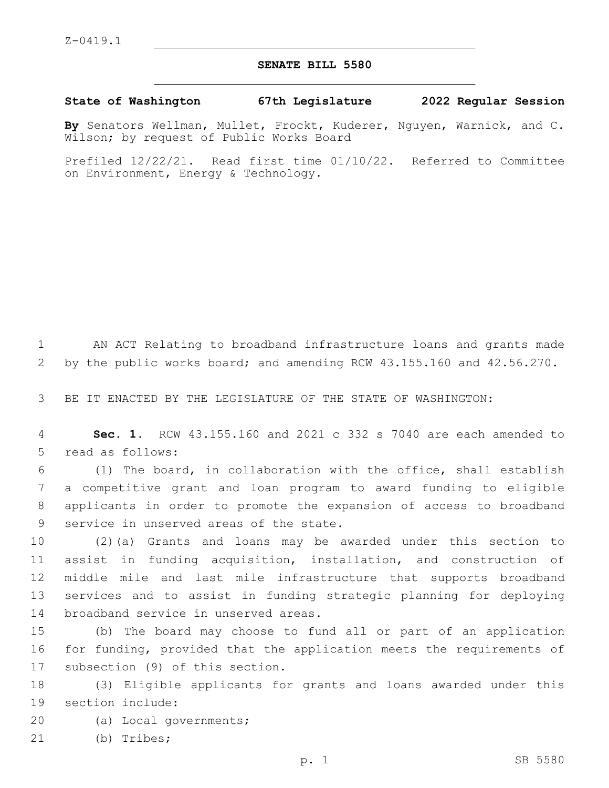## **SENATE BILL 5580**

**State of Washington 67th Legislature 2022 Regular Session**

**By** Senators Wellman, Mullet, Frockt, Kuderer, Nguyen, Warnick, and C. Wilson; by request of Public Works Board

Prefiled 12/22/21. Read first time 01/10/22. Referred to Committee on Environment, Energy & Technology.

1 AN ACT Relating to broadband infrastructure loans and grants made 2 by the public works board; and amending RCW 43.155.160 and 42.56.270.

3 BE IT ENACTED BY THE LEGISLATURE OF THE STATE OF WASHINGTON:

4 **Sec. 1.** RCW 43.155.160 and 2021 c 332 s 7040 are each amended to 5 read as follows:

 (1) The board, in collaboration with the office, shall establish a competitive grant and loan program to award funding to eligible applicants in order to promote the expansion of access to broadband 9 service in unserved areas of the state.

 (2)(a) Grants and loans may be awarded under this section to assist in funding acquisition, installation, and construction of middle mile and last mile infrastructure that supports broadband services and to assist in funding strategic planning for deploying 14 broadband service in unserved areas.

15 (b) The board may choose to fund all or part of an application 16 for funding, provided that the application meets the requirements of 17 subsection (9) of this section.

18 (3) Eligible applicants for grants and loans awarded under this 19 section include:

- 20 (a) Local governments;
- 21 (b) Tribes;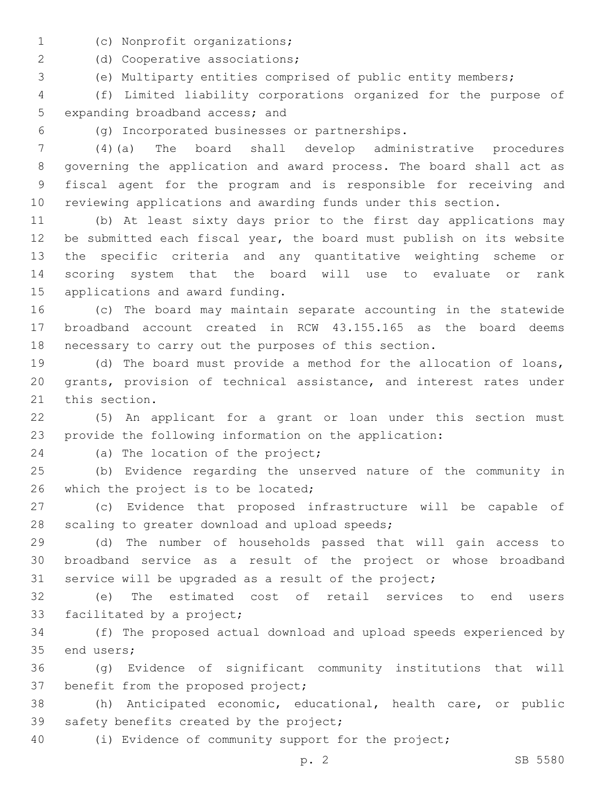- (c) Nonprofit organizations;1
- 2 (d) Cooperative associations;
- (e) Multiparty entities comprised of public entity members;

 (f) Limited liability corporations organized for the purpose of 5 expanding broadband access; and

(g) Incorporated businesses or partnerships.6

 (4)(a) The board shall develop administrative procedures governing the application and award process. The board shall act as fiscal agent for the program and is responsible for receiving and reviewing applications and awarding funds under this section.

 (b) At least sixty days prior to the first day applications may be submitted each fiscal year, the board must publish on its website the specific criteria and any quantitative weighting scheme or scoring system that the board will use to evaluate or rank 15 applications and award funding.

 (c) The board may maintain separate accounting in the statewide broadband account created in RCW 43.155.165 as the board deems necessary to carry out the purposes of this section.

 (d) The board must provide a method for the allocation of loans, grants, provision of technical assistance, and interest rates under 21 this section.

 (5) An applicant for a grant or loan under this section must provide the following information on the application:

24 (a) The location of the project;

 (b) Evidence regarding the unserved nature of the community in 26 which the project is to be located;

 (c) Evidence that proposed infrastructure will be capable of 28 scaling to greater download and upload speeds;

 (d) The number of households passed that will gain access to broadband service as a result of the project or whose broadband service will be upgraded as a result of the project;

 (e) The estimated cost of retail services to end users 33 facilitated by a project;

 (f) The proposed actual download and upload speeds experienced by 35 end users;

 (g) Evidence of significant community institutions that will 37 benefit from the proposed project;

 (h) Anticipated economic, educational, health care, or public 39 safety benefits created by the project;

(i) Evidence of community support for the project;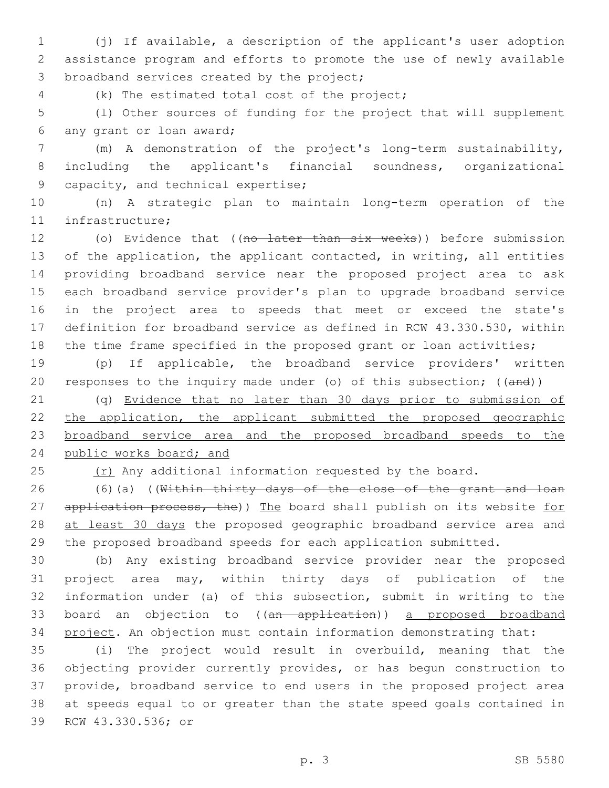(j) If available, a description of the applicant's user adoption assistance program and efforts to promote the use of newly available 3 broadband services created by the project;

(k) The estimated total cost of the project;4

 (l) Other sources of funding for the project that will supplement 6 any grant or loan award;

 (m) A demonstration of the project's long-term sustainability, including the applicant's financial soundness, organizational 9 capacity, and technical expertise;

 (n) A strategic plan to maintain long-term operation of the 11 infrastructure;

12 (o) Evidence that ((no later than six weeks)) before submission of the application, the applicant contacted, in writing, all entities providing broadband service near the proposed project area to ask each broadband service provider's plan to upgrade broadband service in the project area to speeds that meet or exceed the state's definition for broadband service as defined in RCW 43.330.530, within 18 the time frame specified in the proposed grant or loan activities;

 (p) If applicable, the broadband service providers' written responses to the inquiry made under (o) of this subsection; ((and))

 (q) Evidence that no later than 30 days prior to submission of 22 the application, the applicant submitted the proposed geographic broadband service area and the proposed broadband speeds to the 24 public works board; and

 $(1)$   $(25)$  any additional information requested by the board.

 (6)(a) ((Within thirty days of the close of the grant and loan 27 application process, the)) The board shall publish on its website for 28 at least 30 days the proposed geographic broadband service area and the proposed broadband speeds for each application submitted.

 (b) Any existing broadband service provider near the proposed project area may, within thirty days of publication of the information under (a) of this subsection, submit in writing to the 33 board an objection to ((an application)) a proposed broadband project. An objection must contain information demonstrating that:

 (i) The project would result in overbuild, meaning that the objecting provider currently provides, or has begun construction to provide, broadband service to end users in the proposed project area at speeds equal to or greater than the state speed goals contained in 39 RCW 43.330.536; or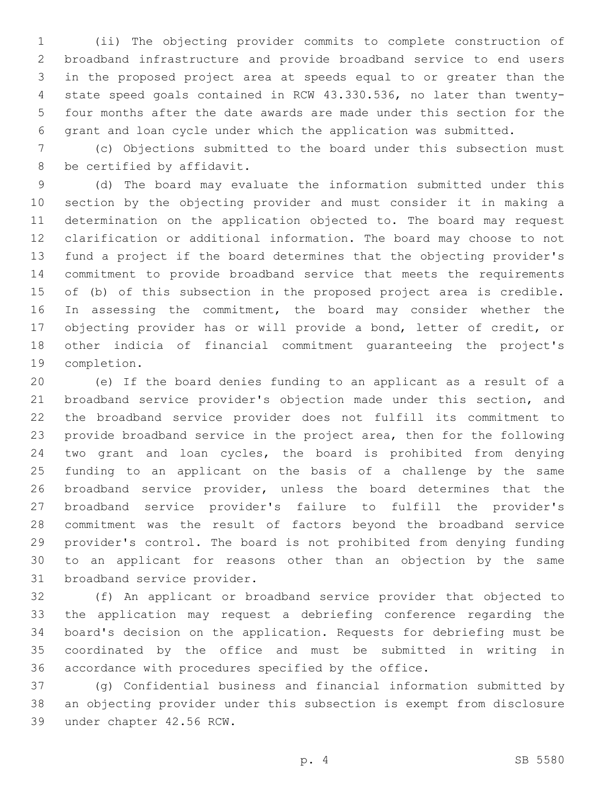(ii) The objecting provider commits to complete construction of broadband infrastructure and provide broadband service to end users in the proposed project area at speeds equal to or greater than the state speed goals contained in RCW 43.330.536, no later than twenty- four months after the date awards are made under this section for the grant and loan cycle under which the application was submitted.

 (c) Objections submitted to the board under this subsection must 8 be certified by affidavit.

 (d) The board may evaluate the information submitted under this section by the objecting provider and must consider it in making a determination on the application objected to. The board may request clarification or additional information. The board may choose to not fund a project if the board determines that the objecting provider's commitment to provide broadband service that meets the requirements of (b) of this subsection in the proposed project area is credible. 16 In assessing the commitment, the board may consider whether the objecting provider has or will provide a bond, letter of credit, or other indicia of financial commitment guaranteeing the project's 19 completion.

 (e) If the board denies funding to an applicant as a result of a broadband service provider's objection made under this section, and the broadband service provider does not fulfill its commitment to provide broadband service in the project area, then for the following two grant and loan cycles, the board is prohibited from denying funding to an applicant on the basis of a challenge by the same broadband service provider, unless the board determines that the broadband service provider's failure to fulfill the provider's commitment was the result of factors beyond the broadband service provider's control. The board is not prohibited from denying funding to an applicant for reasons other than an objection by the same 31 broadband service provider.

 (f) An applicant or broadband service provider that objected to the application may request a debriefing conference regarding the board's decision on the application. Requests for debriefing must be coordinated by the office and must be submitted in writing in accordance with procedures specified by the office.

 (g) Confidential business and financial information submitted by an objecting provider under this subsection is exempt from disclosure 39 under chapter 42.56 RCW.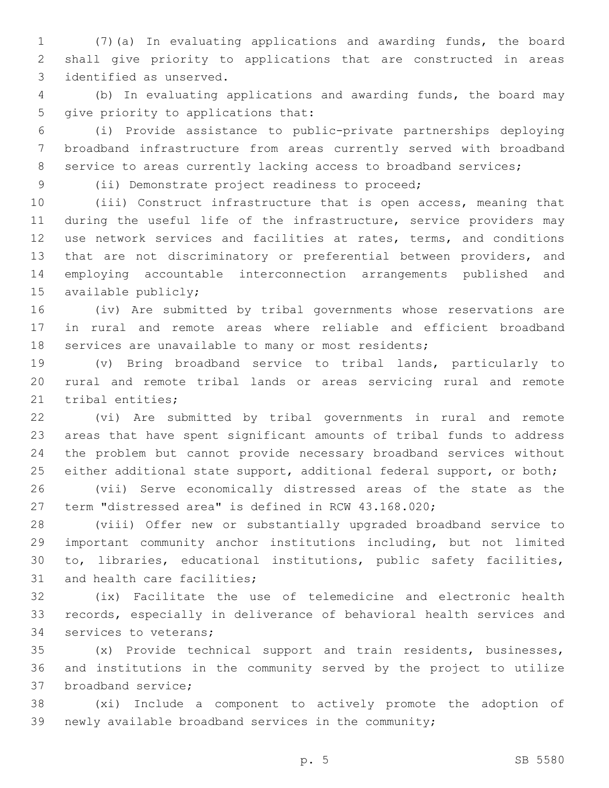(7)(a) In evaluating applications and awarding funds, the board shall give priority to applications that are constructed in areas 3 identified as unserved.

 (b) In evaluating applications and awarding funds, the board may 5 give priority to applications that:

 (i) Provide assistance to public-private partnerships deploying broadband infrastructure from areas currently served with broadband 8 service to areas currently lacking access to broadband services;

(ii) Demonstrate project readiness to proceed;9

 (iii) Construct infrastructure that is open access, meaning that during the useful life of the infrastructure, service providers may use network services and facilities at rates, terms, and conditions that are not discriminatory or preferential between providers, and employing accountable interconnection arrangements published and 15 available publicly;

 (iv) Are submitted by tribal governments whose reservations are in rural and remote areas where reliable and efficient broadband 18 services are unavailable to many or most residents;

 (v) Bring broadband service to tribal lands, particularly to rural and remote tribal lands or areas servicing rural and remote 21 tribal entities;

 (vi) Are submitted by tribal governments in rural and remote areas that have spent significant amounts of tribal funds to address the problem but cannot provide necessary broadband services without 25 either additional state support, additional federal support, or both;

 (vii) Serve economically distressed areas of the state as the term "distressed area" is defined in RCW 43.168.020;

 (viii) Offer new or substantially upgraded broadband service to important community anchor institutions including, but not limited to, libraries, educational institutions, public safety facilities, 31 and health care facilities;

 (ix) Facilitate the use of telemedicine and electronic health records, especially in deliverance of behavioral health services and 34 services to veterans;

 (x) Provide technical support and train residents, businesses, and institutions in the community served by the project to utilize 37 broadband service:

 (xi) Include a component to actively promote the adoption of newly available broadband services in the community;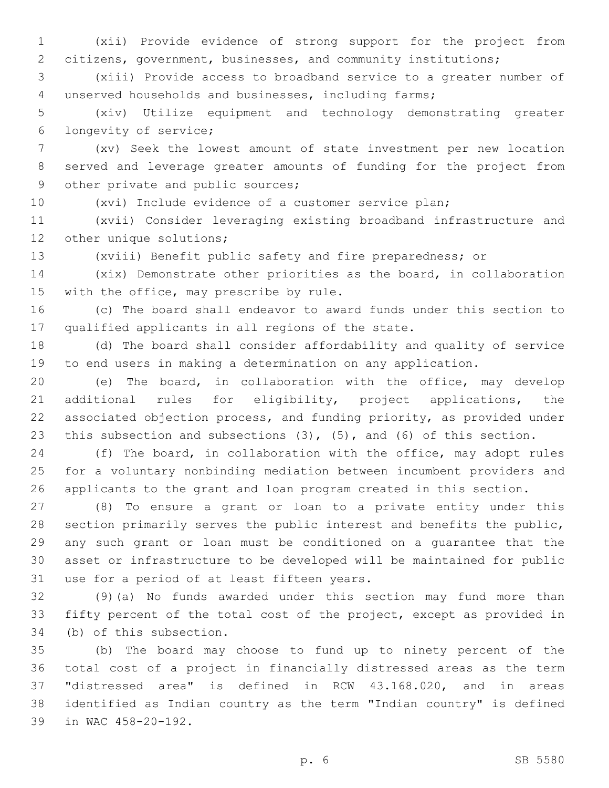(xii) Provide evidence of strong support for the project from citizens, government, businesses, and community institutions;

 (xiii) Provide access to broadband service to a greater number of unserved households and businesses, including farms;

 (xiv) Utilize equipment and technology demonstrating greater longevity of service;6

 (xv) Seek the lowest amount of state investment per new location served and leverage greater amounts of funding for the project from 9 other private and public sources;

(xvi) Include evidence of a customer service plan;

 (xvii) Consider leveraging existing broadband infrastructure and 12 other unique solutions;

(xviii) Benefit public safety and fire preparedness; or

 (xix) Demonstrate other priorities as the board, in collaboration 15 with the office, may prescribe by rule.

 (c) The board shall endeavor to award funds under this section to 17 qualified applicants in all regions of the state.

 (d) The board shall consider affordability and quality of service to end users in making a determination on any application.

 (e) The board, in collaboration with the office, may develop additional rules for eligibility, project applications, the associated objection process, and funding priority, as provided under 23 this subsection and subsections (3), (5), and (6) of this section.

 (f) The board, in collaboration with the office, may adopt rules for a voluntary nonbinding mediation between incumbent providers and applicants to the grant and loan program created in this section.

 (8) To ensure a grant or loan to a private entity under this section primarily serves the public interest and benefits the public, any such grant or loan must be conditioned on a guarantee that the asset or infrastructure to be developed will be maintained for public 31 use for a period of at least fifteen years.

 (9)(a) No funds awarded under this section may fund more than fifty percent of the total cost of the project, except as provided in 34 (b) of this subsection.

 (b) The board may choose to fund up to ninety percent of the total cost of a project in financially distressed areas as the term "distressed area" is defined in RCW 43.168.020, and in areas identified as Indian country as the term "Indian country" is defined 39 in WAC 458-20-192.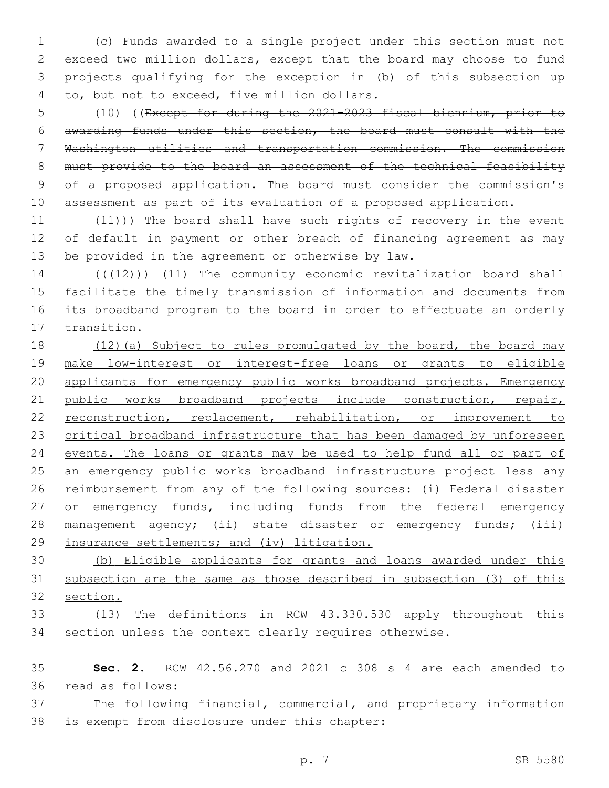(c) Funds awarded to a single project under this section must not exceed two million dollars, except that the board may choose to fund projects qualifying for the exception in (b) of this subsection up 4 to, but not to exceed, five million dollars.

 (10) ((Except for during the 2021-2023 fiscal biennium, prior to awarding funds under this section, the board must consult with the Washington utilities and transportation commission. The commission 8 must provide to the board an assessment of the technical feasibility of a proposed application. The board must consider the commission's 10 assessment as part of its evaluation of a proposed application.

11  $(11)$ ) The board shall have such rights of recovery in the event of default in payment or other breach of financing agreement as may 13 be provided in the agreement or otherwise by law.

14 (((412))) (11) The community economic revitalization board shall facilitate the timely transmission of information and documents from its broadband program to the board in order to effectuate an orderly 17 transition.

18 (12)(a) Subject to rules promulgated by the board, the board may make low-interest or interest-free loans or grants to eligible applicants for emergency public works broadband projects. Emergency public works broadband projects include construction, repair, reconstruction, replacement, rehabilitation, or improvement to critical broadband infrastructure that has been damaged by unforeseen events. The loans or grants may be used to help fund all or part of 25 an emergency public works broadband infrastructure project less any 26 reimbursement from any of the following sources: (i) Federal disaster 27 or emergency funds, including funds from the federal emergency 28 management agency; (ii) state disaster or emergency funds; (iii) insurance settlements; and (iv) litigation.

 (b) Eligible applicants for grants and loans awarded under this subsection are the same as those described in subsection (3) of this section.

 (13) The definitions in RCW 43.330.530 apply throughout this section unless the context clearly requires otherwise.

 **Sec. 2.** RCW 42.56.270 and 2021 c 308 s 4 are each amended to 36 read as follows:

 The following financial, commercial, and proprietary information 38 is exempt from disclosure under this chapter: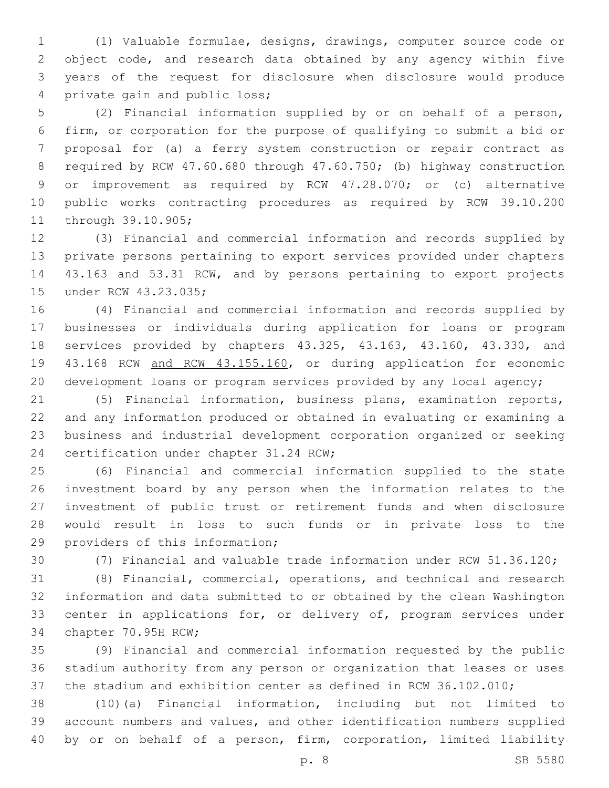(1) Valuable formulae, designs, drawings, computer source code or object code, and research data obtained by any agency within five years of the request for disclosure when disclosure would produce 4 private gain and public loss;

 (2) Financial information supplied by or on behalf of a person, firm, or corporation for the purpose of qualifying to submit a bid or proposal for (a) a ferry system construction or repair contract as required by RCW 47.60.680 through 47.60.750; (b) highway construction or improvement as required by RCW 47.28.070; or (c) alternative public works contracting procedures as required by RCW 39.10.200 11 through 39.10.905;

 (3) Financial and commercial information and records supplied by private persons pertaining to export services provided under chapters 43.163 and 53.31 RCW, and by persons pertaining to export projects 15 under RCW 43.23.035;

 (4) Financial and commercial information and records supplied by businesses or individuals during application for loans or program services provided by chapters 43.325, 43.163, 43.160, 43.330, and 43.168 RCW and RCW 43.155.160, or during application for economic development loans or program services provided by any local agency;

 (5) Financial information, business plans, examination reports, and any information produced or obtained in evaluating or examining a business and industrial development corporation organized or seeking 24 certification under chapter 31.24 RCW;

 (6) Financial and commercial information supplied to the state investment board by any person when the information relates to the investment of public trust or retirement funds and when disclosure would result in loss to such funds or in private loss to the 29 providers of this information;

(7) Financial and valuable trade information under RCW 51.36.120;

 (8) Financial, commercial, operations, and technical and research information and data submitted to or obtained by the clean Washington 33 center in applications for, or delivery of, program services under 34 chapter 70.95H RCW;

 (9) Financial and commercial information requested by the public stadium authority from any person or organization that leases or uses the stadium and exhibition center as defined in RCW 36.102.010;

 (10)(a) Financial information, including but not limited to account numbers and values, and other identification numbers supplied by or on behalf of a person, firm, corporation, limited liability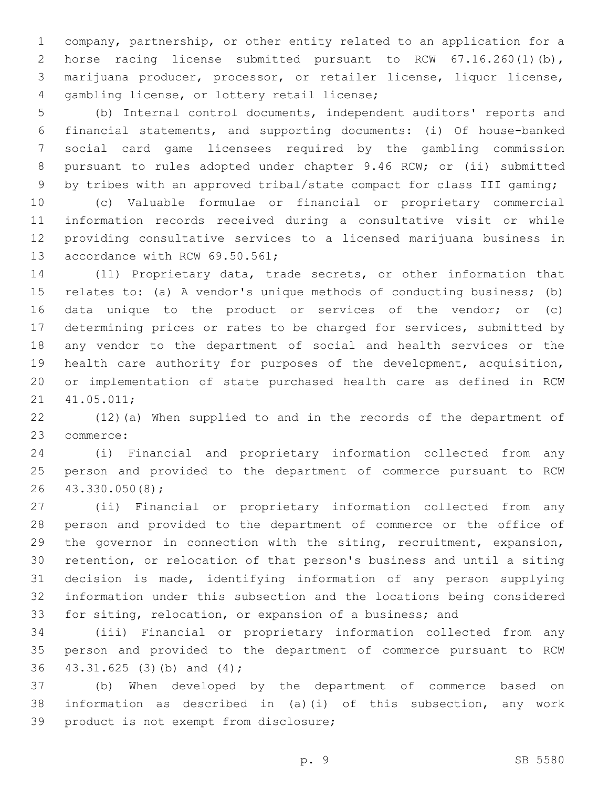company, partnership, or other entity related to an application for a horse racing license submitted pursuant to RCW 67.16.260(1)(b), marijuana producer, processor, or retailer license, liquor license, 4 gambling license, or lottery retail license;

 (b) Internal control documents, independent auditors' reports and financial statements, and supporting documents: (i) Of house-banked social card game licensees required by the gambling commission pursuant to rules adopted under chapter 9.46 RCW; or (ii) submitted by tribes with an approved tribal/state compact for class III gaming;

 (c) Valuable formulae or financial or proprietary commercial information records received during a consultative visit or while providing consultative services to a licensed marijuana business in 13 accordance with RCW 69.50.561;

 (11) Proprietary data, trade secrets, or other information that relates to: (a) A vendor's unique methods of conducting business; (b) data unique to the product or services of the vendor; or (c) determining prices or rates to be charged for services, submitted by any vendor to the department of social and health services or the health care authority for purposes of the development, acquisition, or implementation of state purchased health care as defined in RCW 21 41.05.011;

 (12)(a) When supplied to and in the records of the department of 23 commerce:

 (i) Financial and proprietary information collected from any person and provided to the department of commerce pursuant to RCW 43.330.050(8);26

 (ii) Financial or proprietary information collected from any person and provided to the department of commerce or the office of the governor in connection with the siting, recruitment, expansion, retention, or relocation of that person's business and until a siting decision is made, identifying information of any person supplying information under this subsection and the locations being considered for siting, relocation, or expansion of a business; and

 (iii) Financial or proprietary information collected from any person and provided to the department of commerce pursuant to RCW 36 43.31.625 (3) (b) and (4);

 (b) When developed by the department of commerce based on information as described in (a)(i) of this subsection, any work 39 product is not exempt from disclosure;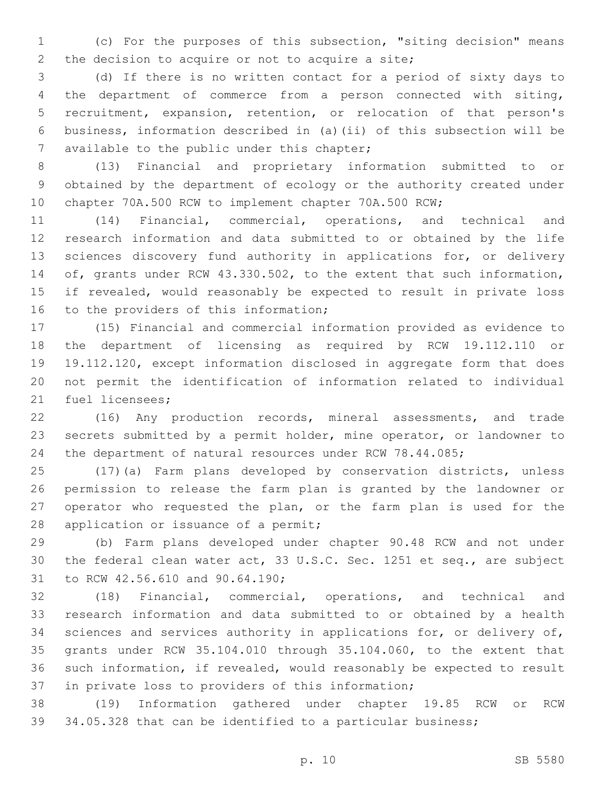(c) For the purposes of this subsection, "siting decision" means 2 the decision to acquire or not to acquire a site;

 (d) If there is no written contact for a period of sixty days to the department of commerce from a person connected with siting, recruitment, expansion, retention, or relocation of that person's business, information described in (a)(ii) of this subsection will be 7 available to the public under this chapter;

 (13) Financial and proprietary information submitted to or obtained by the department of ecology or the authority created under chapter 70A.500 RCW to implement chapter 70A.500 RCW;

 (14) Financial, commercial, operations, and technical and research information and data submitted to or obtained by the life sciences discovery fund authority in applications for, or delivery of, grants under RCW 43.330.502, to the extent that such information, if revealed, would reasonably be expected to result in private loss 16 to the providers of this information;

 (15) Financial and commercial information provided as evidence to the department of licensing as required by RCW 19.112.110 or 19.112.120, except information disclosed in aggregate form that does not permit the identification of information related to individual 21 fuel licensees;

 (16) Any production records, mineral assessments, and trade secrets submitted by a permit holder, mine operator, or landowner to the department of natural resources under RCW 78.44.085;

 (17)(a) Farm plans developed by conservation districts, unless permission to release the farm plan is granted by the landowner or operator who requested the plan, or the farm plan is used for the 28 application or issuance of a permit;

 (b) Farm plans developed under chapter 90.48 RCW and not under the federal clean water act, 33 U.S.C. Sec. 1251 et seq., are subject 31 to RCW 42.56.610 and 90.64.190;

 (18) Financial, commercial, operations, and technical and research information and data submitted to or obtained by a health 34 sciences and services authority in applications for, or delivery of, grants under RCW 35.104.010 through 35.104.060, to the extent that such information, if revealed, would reasonably be expected to result 37 in private loss to providers of this information;

 (19) Information gathered under chapter 19.85 RCW or RCW 34.05.328 that can be identified to a particular business;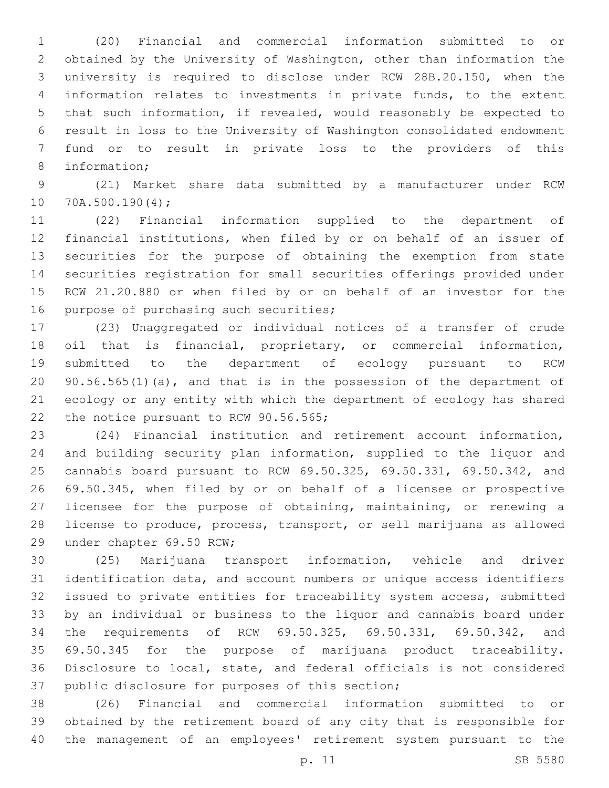(20) Financial and commercial information submitted to or obtained by the University of Washington, other than information the university is required to disclose under RCW 28B.20.150, when the information relates to investments in private funds, to the extent that such information, if revealed, would reasonably be expected to result in loss to the University of Washington consolidated endowment fund or to result in private loss to the providers of this 8 information;

 (21) Market share data submitted by a manufacturer under RCW 10 70A.500.190(4);

 (22) Financial information supplied to the department of financial institutions, when filed by or on behalf of an issuer of securities for the purpose of obtaining the exemption from state securities registration for small securities offerings provided under RCW 21.20.880 or when filed by or on behalf of an investor for the 16 purpose of purchasing such securities;

 (23) Unaggregated or individual notices of a transfer of crude oil that is financial, proprietary, or commercial information, submitted to the department of ecology pursuant to RCW 90.56.565(1)(a), and that is in the possession of the department of ecology or any entity with which the department of ecology has shared 22 the notice pursuant to RCW 90.56.565;

 (24) Financial institution and retirement account information, and building security plan information, supplied to the liquor and cannabis board pursuant to RCW 69.50.325, 69.50.331, 69.50.342, and 69.50.345, when filed by or on behalf of a licensee or prospective licensee for the purpose of obtaining, maintaining, or renewing a license to produce, process, transport, or sell marijuana as allowed 29 under chapter 69.50 RCW;

 (25) Marijuana transport information, vehicle and driver identification data, and account numbers or unique access identifiers issued to private entities for traceability system access, submitted by an individual or business to the liquor and cannabis board under the requirements of RCW 69.50.325, 69.50.331, 69.50.342, and 69.50.345 for the purpose of marijuana product traceability. Disclosure to local, state, and federal officials is not considered 37 public disclosure for purposes of this section;

 (26) Financial and commercial information submitted to or obtained by the retirement board of any city that is responsible for the management of an employees' retirement system pursuant to the

p. 11 SB 5580